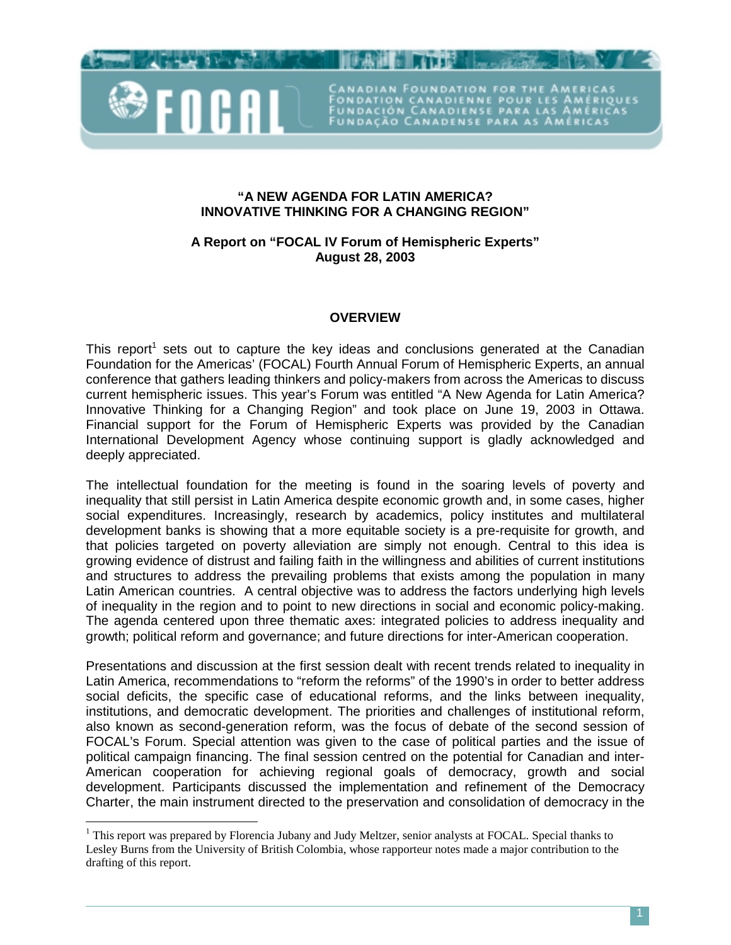

 $\overline{a}$ 

**"A NEW AGENDA FOR LATIN AMERICA? INNOVATIVE THINKING FOR A CHANGING REGION"** 

ADIAN FOUNDATION FOR THE AMER

FONDATION CANADIENNE POUR LES AMÉRIQ<br>FUNDACIÓN CANADIENSE PARA LAS AMÉRIC<br>FUNDAÇÃO CANADENSE PARA AS AMÉRICAS

**A Report on "FOCAL IV Forum of Hemispheric Experts" August 28, 2003** 

#### **OVERVIEW**

This report<sup>1</sup> sets out to capture the key ideas and conclusions generated at the Canadian Foundation for the Americas' (FOCAL) Fourth Annual Forum of Hemispheric Experts, an annual conference that gathers leading thinkers and policy-makers from across the Americas to discuss current hemispheric issues. This year's Forum was entitled "A New Agenda for Latin America? Innovative Thinking for a Changing Region" and took place on June 19, 2003 in Ottawa. Financial support for the Forum of Hemispheric Experts was provided by the Canadian International Development Agency whose continuing support is gladly acknowledged and deeply appreciated.

The intellectual foundation for the meeting is found in the soaring levels of poverty and inequality that still persist in Latin America despite economic growth and, in some cases, higher social expenditures. Increasingly, research by academics, policy institutes and multilateral development banks is showing that a more equitable society is a pre-requisite for growth, and that policies targeted on poverty alleviation are simply not enough. Central to this idea is growing evidence of distrust and failing faith in the willingness and abilities of current institutions and structures to address the prevailing problems that exists among the population in many Latin American countries. A central objective was to address the factors underlying high levels of inequality in the region and to point to new directions in social and economic policy-making. The agenda centered upon three thematic axes: integrated policies to address inequality and growth; political reform and governance; and future directions for inter-American cooperation.

Presentations and discussion at the first session dealt with recent trends related to inequality in Latin America, recommendations to "reform the reforms" of the 1990's in order to better address social deficits, the specific case of educational reforms, and the links between inequality. institutions, and democratic development. The priorities and challenges of institutional reform, also known as second-generation reform, was the focus of debate of the second session of FOCAL's Forum. Special attention was given to the case of political parties and the issue of political campaign financing. The final session centred on the potential for Canadian and inter-American cooperation for achieving regional goals of democracy, growth and social development. Participants discussed the implementation and refinement of the Democracy Charter, the main instrument directed to the preservation and consolidation of democracy in the

<sup>&</sup>lt;sup>1</sup> This report was prepared by Florencia Jubany and Judy Meltzer, senior analysts at FOCAL. Special thanks to Lesley Burns from the University of British Colombia, whose rapporteur notes made a major contribution to the drafting of this report.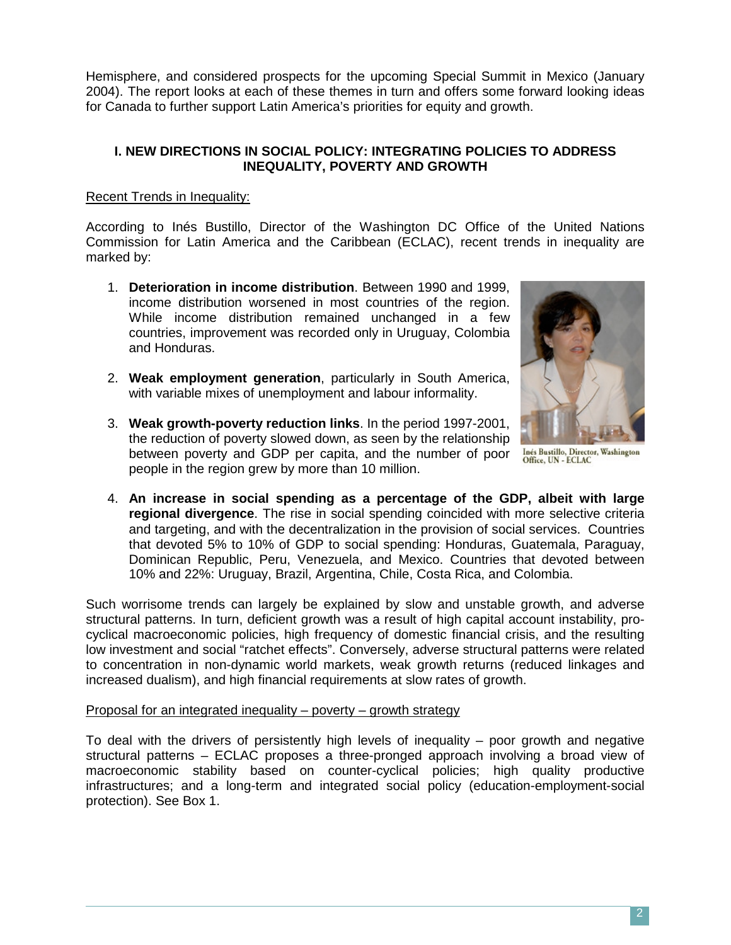Hemisphere, and considered prospects for the upcoming Special Summit in Mexico (January 2004). The report looks at each of these themes in turn and offers some forward looking ideas for Canada to further support Latin America's priorities for equity and growth.

## **I. NEW DIRECTIONS IN SOCIAL POLICY: INTEGRATING POLICIES TO ADDRESS INEQUALITY, POVERTY AND GROWTH**

# Recent Trends in Inequality:

According to Inés Bustillo, Director of the Washington DC Office of the United Nations Commission for Latin America and the Caribbean (ECLAC), recent trends in inequality are marked by:

- 1. **Deterioration in income distribution**. Between 1990 and 1999, income distribution worsened in most countries of the region. While income distribution remained unchanged in a few countries, improvement was recorded only in Uruguay, Colombia and Honduras.
- 2. **Weak employment generation**, particularly in South America, with variable mixes of unemployment and labour informality.
- 3. **Weak growth-poverty reduction links**. In the period 1997-2001, the reduction of poverty slowed down, as seen by the relationship between poverty and GDP per capita, and the number of poor people in the region grew by more than 10 million.



**Inés Bustillo, Director, Washington<br>Office, UN - ECLAC** 

4. **An increase in social spending as a percentage of the GDP, albeit with large regional divergence**. The rise in social spending coincided with more selective criteria and targeting, and with the decentralization in the provision of social services. Countries that devoted 5% to 10% of GDP to social spending: Honduras, Guatemala, Paraguay, Dominican Republic, Peru, Venezuela, and Mexico. Countries that devoted between 10% and 22%: Uruguay, Brazil, Argentina, Chile, Costa Rica, and Colombia.

Such worrisome trends can largely be explained by slow and unstable growth, and adverse structural patterns. In turn, deficient growth was a result of high capital account instability, procyclical macroeconomic policies, high frequency of domestic financial crisis, and the resulting low investment and social "ratchet effects". Conversely, adverse structural patterns were related to concentration in non-dynamic world markets, weak growth returns (reduced linkages and increased dualism), and high financial requirements at slow rates of growth.

# Proposal for an integrated inequality – poverty – growth strategy

To deal with the drivers of persistently high levels of inequality – poor growth and negative structural patterns – ECLAC proposes a three-pronged approach involving a broad view of macroeconomic stability based on counter-cyclical policies; high quality productive infrastructures; and a long-term and integrated social policy (education-employment-social protection). See Box 1.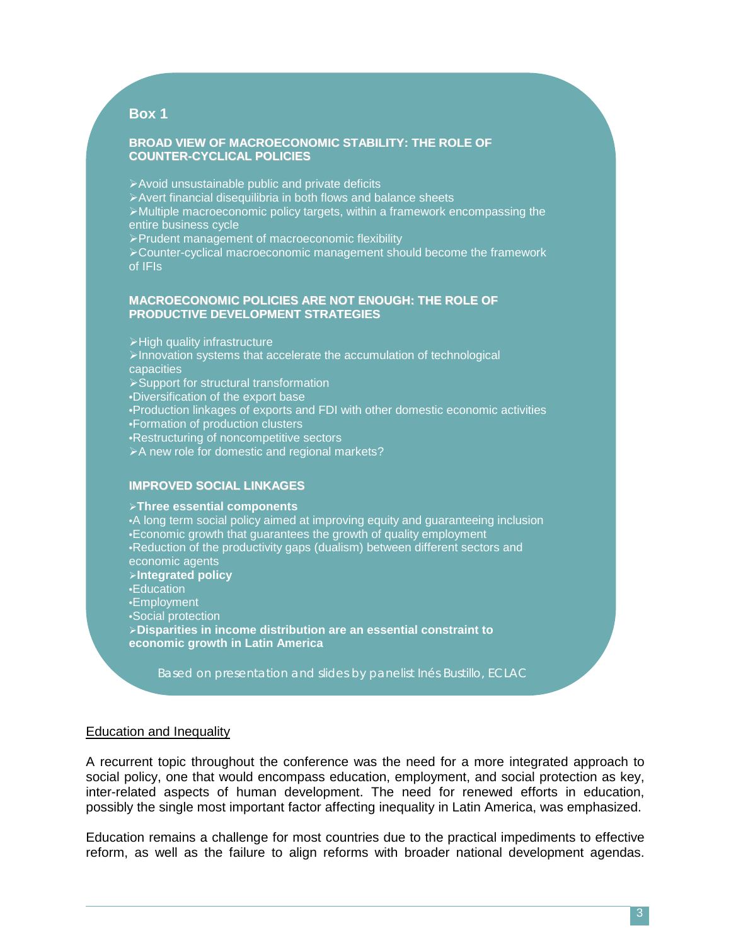# **Box 1**

#### **BROAD VIEW OF MACROECONOMIC STABILITY: THE ROLE OF COUNTER-CYCLICAL POLICIES**

Avoid unsustainable public and private deficits Avert financial disequilibria in both flows and balance sheets Multiple macroeconomic policy targets, within a framework encompassing the entire business cycle Prudent management of macroeconomic flexibility

>Counter-cyclical macroeconomic management should become the framework of IFIs

#### **MACROECONOMIC POLICIES ARE NOT ENOUGH: THE ROLE OF PRODUCTIVE DEVELOPMENT STRATEGIES**

 $\triangleright$  High quality infrastructure >Innovation systems that accelerate the accumulation of technological capacities Support for structural transformation •Diversification of the export base •Production linkages of exports and FDI with other domestic economic activities •Formation of production clusters •Restructuring of noncompetitive sectors >A new role for domestic and regional markets?

# **IMPROVED SOCIAL LINKAGES**

**Three essential components** 

•A long term social policy aimed at improving equity and guaranteeing inclusion •Economic growth that guarantees the growth of quality employment •Reduction of the productivity gaps (dualism) between different sectors and economic agents **Integrated policy**  •Education •Employment •Social protection **Disparities in income distribution are an essential constraint to economic growth in Latin America** 

*Based on presentation and slides by panelist Inés Bustillo, ECLAC*

#### Education and Inequality

A recurrent topic throughout the conference was the need for a more integrated approach to social policy, one that would encompass education, employment, and social protection as key, inter-related aspects of human development. The need for renewed efforts in education, possibly the single most important factor affecting inequality in Latin America, was emphasized.

Education remains a challenge for most countries due to the practical impediments to effective reform, as well as the failure to align reforms with broader national development agendas.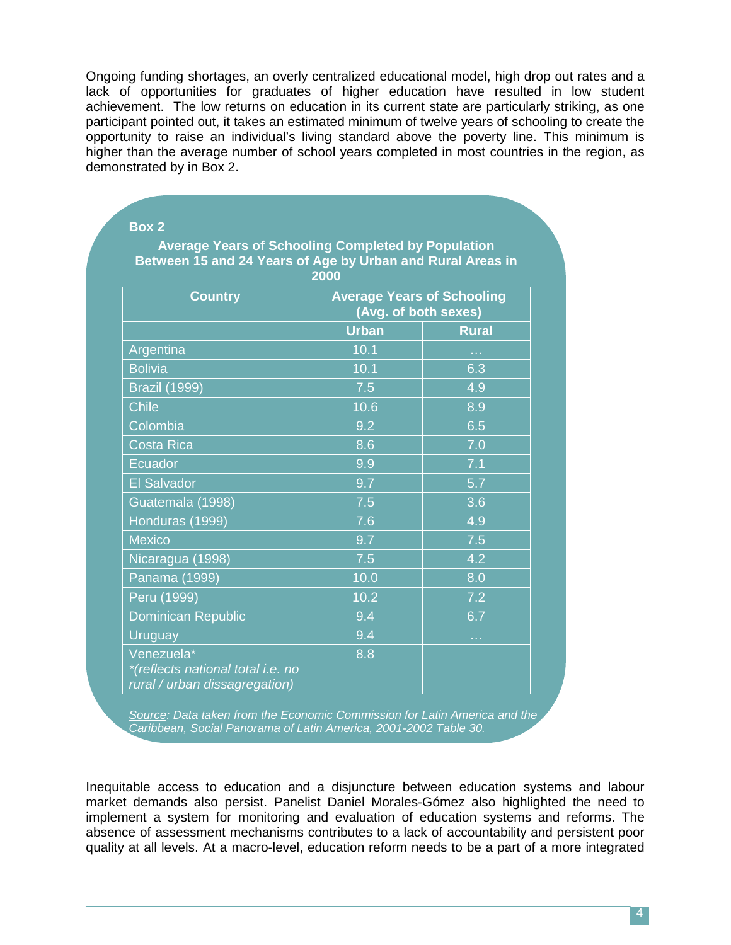Ongoing funding shortages, an overly centralized educational model, high drop out rates and a lack of opportunities for graduates of higher education have resulted in low student achievement. The low returns on education in its current state are particularly striking, as one participant pointed out, it takes an estimated minimum of twelve years of schooling to create the opportunity to raise an individual's living standard above the poverty line. This minimum is higher than the average number of school years completed in most countries in the region, as demonstrated by in Box 2.

| <b>Country</b>            | <b>Average Years of Schooling</b><br>(Avg. of both sexes) |              |
|---------------------------|-----------------------------------------------------------|--------------|
|                           | <b>Urban</b>                                              | <b>Rural</b> |
| Argentina                 | 10.1                                                      | m.           |
| <b>Bolivia</b>            | 10.1                                                      | 6.3          |
| <b>Brazil (1999)</b>      | 7.5                                                       | 4.9          |
| <b>Chile</b>              | 10.6                                                      | 8.9          |
| Colombia                  | 9.2                                                       | 6.5          |
| <b>Costa Rica</b>         | 8.6                                                       | 7.0          |
| Ecuador                   | 9.9                                                       | 7.1          |
| <b>El Salvador</b>        | 9.7                                                       | 5.7          |
| Guatemala (1998)          | $7.\overline{5}$                                          | 3.6          |
| Honduras (1999)           | 7.6                                                       | 4.9          |
| <b>Mexico</b>             | 9.7                                                       | 7.5          |
| Nicaragua (1998)          | 7.5                                                       | 4.2          |
| Panama (1999)             | 10.0                                                      | 8.0          |
| Peru (1999)               | 10.2                                                      | 7.2          |
| <b>Dominican Republic</b> | 9.4                                                       | 6.7          |
| <b>Uruguay</b>            | 9.4                                                       | e e s        |

**Box 2** 

*Source: Data taken from the Economic Commission for Latin America and the Caribbean, Social Panorama of Latin America, 2001-2002 Table 30.* 

Inequitable access to education and a disjuncture between education systems and labour market demands also persist. Panelist Daniel Morales-Gómez also highlighted the need to implement a system for monitoring and evaluation of education systems and reforms. The absence of assessment mechanisms contributes to a lack of accountability and persistent poor quality at all levels. At a macro-level, education reform needs to be a part of a more integrated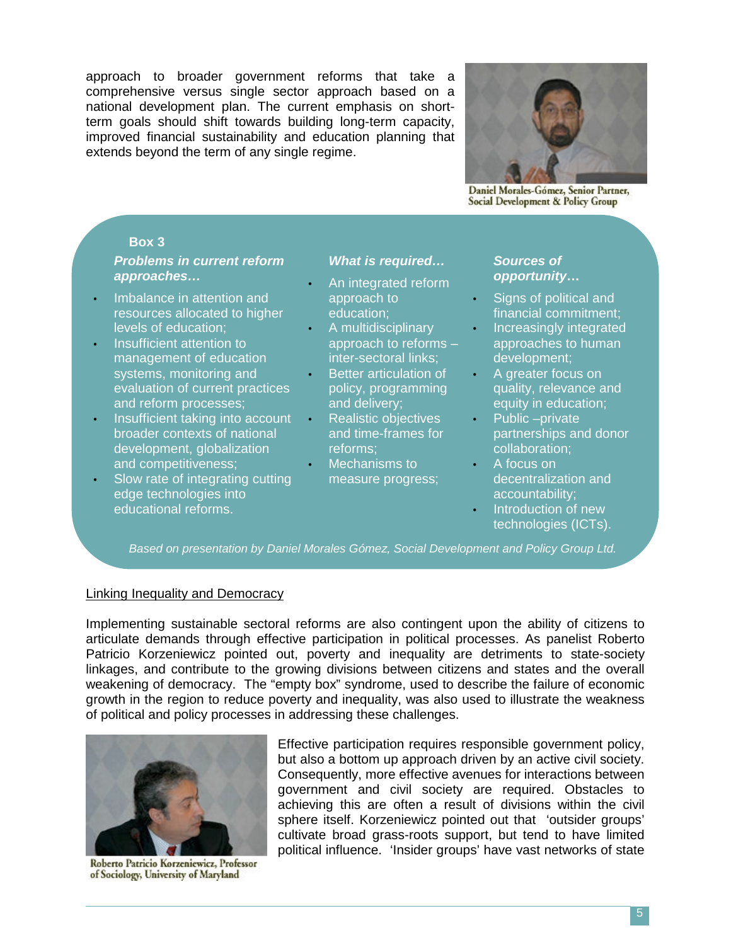approach to broader government reforms that take a comprehensive versus single sector approach based on a national development plan. The current emphasis on shortterm goals should shift towards building long-term capacity, improved financial sustainability and education planning that extends beyond the term of any single regime.



Daniel Morales-Gómez, Senior Partner, Social Development & Policy Group

# **Box 3**

# *Problems in current reform approaches…*

- Imbalance in attention and resources allocated to higher levels of education;
- Insufficient attention to management of education systems, monitoring and evaluation of current practices and reform processes;
- Insufficient taking into account broader contexts of national development, globalization and competitiveness;
- Slow rate of integrating cutting edge technologies into educational reforms.

## *What is required…*

- An integrated reform approach to education;
- A multidisciplinary approach to reforms – inter-sectoral links;
- Better articulation of policy, programming and delivery;
- Realistic objectives and time-frames for reforms;
- Mechanisms to measure progress;

## *Sources of opportunity***…**

- Signs of political and financial commitment;
- Increasingly integrated approaches to human development;
- A greater focus on quality, relevance and equity in education;
- Public –private partnerships and donor collaboration;
- A focus on decentralization and accountability;
	- **Introduction of new** technologies (ICTs).

*Based on presentation by Daniel Morales Gómez, Social Development and Policy Group Ltd.*

#### Linking Inequality and Democracy

Implementing sustainable sectoral reforms are also contingent upon the ability of citizens to articulate demands through effective participation in political processes. As panelist Roberto Patricio Korzeniewicz pointed out, poverty and inequality are detriments to state-society linkages, and contribute to the growing divisions between citizens and states and the overall weakening of democracy. The "empty box" syndrome, used to describe the failure of economic growth in the region to reduce poverty and inequality, was also used to illustrate the weakness of political and policy processes in addressing these challenges.



Roberto Patricio Korzeniewicz, Professor of Sociology, University of Maryland

Effective participation requires responsible government policy, but also a bottom up approach driven by an active civil society. Consequently, more effective avenues for interactions between government and civil society are required. Obstacles to achieving this are often a result of divisions within the civil sphere itself. Korzeniewicz pointed out that 'outsider groups' cultivate broad grass-roots support, but tend to have limited political influence. 'Insider groups' have vast networks of state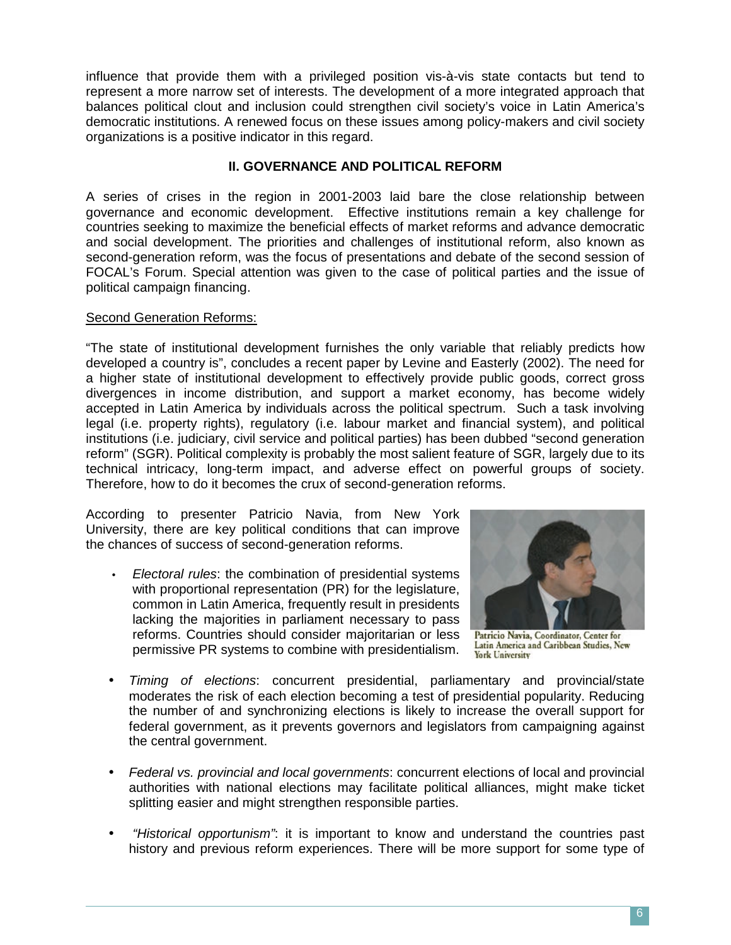influence that provide them with a privileged position vis-à-vis state contacts but tend to represent a more narrow set of interests. The development of a more integrated approach that balances political clout and inclusion could strengthen civil society's voice in Latin America's democratic institutions. A renewed focus on these issues among policy-makers and civil society organizations is a positive indicator in this regard.

# **II. GOVERNANCE AND POLITICAL REFORM**

A series of crises in the region in 2001-2003 laid bare the close relationship between governance and economic development. Effective institutions remain a key challenge for countries seeking to maximize the beneficial effects of market reforms and advance democratic and social development. The priorities and challenges of institutional reform, also known as second-generation reform, was the focus of presentations and debate of the second session of FOCAL's Forum. Special attention was given to the case of political parties and the issue of political campaign financing.

#### Second Generation Reforms:

"The state of institutional development furnishes the only variable that reliably predicts how developed a country is", concludes a recent paper by Levine and Easterly (2002). The need for a higher state of institutional development to effectively provide public goods, correct gross divergences in income distribution, and support a market economy, has become widely accepted in Latin America by individuals across the political spectrum. Such a task involving legal (i.e. property rights), regulatory (i.e. labour market and financial system), and political institutions (i.e. judiciary, civil service and political parties) has been dubbed "second generation reform" (SGR). Political complexity is probably the most salient feature of SGR, largely due to its technical intricacy, long-term impact, and adverse effect on powerful groups of society. Therefore, how to do it becomes the crux of second-generation reforms.

According to presenter Patricio Navia, from New York University, there are key political conditions that can improve the chances of success of second-generation reforms.

• *Electoral rules*: the combination of presidential systems with proportional representation (PR) for the legislature, common in Latin America, frequently result in presidents lacking the majorities in parliament necessary to pass reforms. Countries should consider majoritarian or less permissive PR systems to combine with presidentialism.



Patricio Navia, Coordinator, Center for Latin America and Caribbean Studies, New **York University** 

- *Timing of elections*: concurrent presidential, parliamentary and provincial/state moderates the risk of each election becoming a test of presidential popularity. Reducing the number of and synchronizing elections is likely to increase the overall support for federal government, as it prevents governors and legislators from campaigning against the central government.
- *Federal vs. provincial and local governments*: concurrent elections of local and provincial authorities with national elections may facilitate political alliances, might make ticket splitting easier and might strengthen responsible parties.
- • *"Historical opportunism"*: it is important to know and understand the countries past history and previous reform experiences. There will be more support for some type of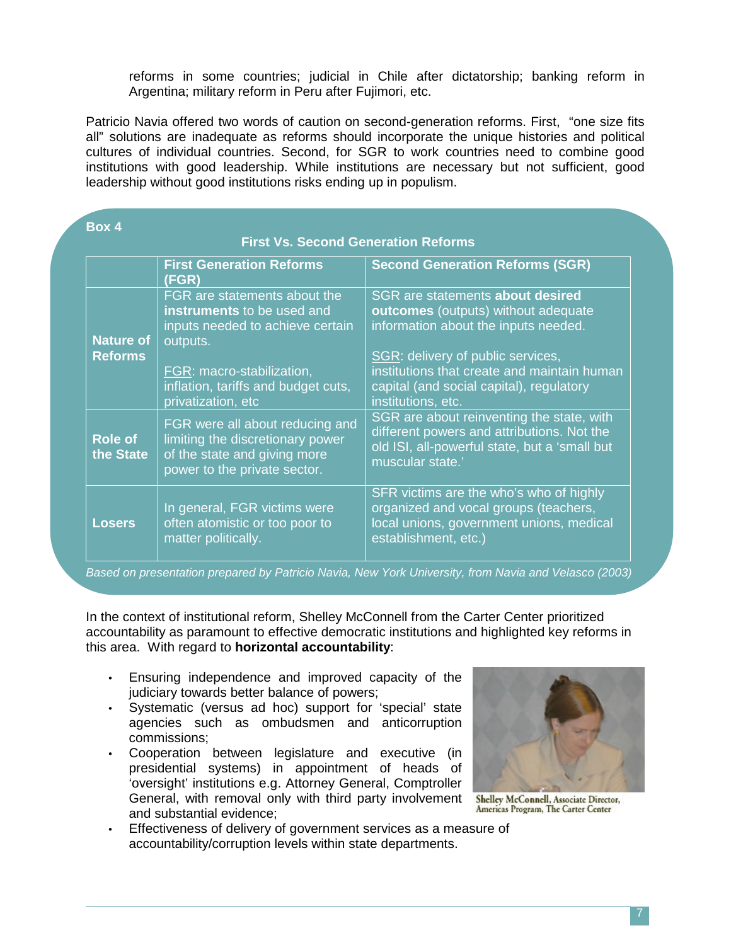reforms in some countries; judicial in Chile after dictatorship; banking reform in Argentina; military reform in Peru after Fujimori, etc.

Patricio Navia offered two words of caution on second-generation reforms. First, "one size fits all" solutions are inadequate as reforms should incorporate the unique histories and political cultures of individual countries. Second, for SGR to work countries need to combine good institutions with good leadership. While institutions are necessary but not sufficient, good leadership without good institutions risks ending up in populism.

í **Box 4** 

| <b>First Vs. Second Generation Reforms</b> |                                                                                                                                                                                                      |                                                                                                                                                                                                                                                                       |  |
|--------------------------------------------|------------------------------------------------------------------------------------------------------------------------------------------------------------------------------------------------------|-----------------------------------------------------------------------------------------------------------------------------------------------------------------------------------------------------------------------------------------------------------------------|--|
|                                            | <b>First Generation Reforms</b><br>(FGR)                                                                                                                                                             | <b>Second Generation Reforms (SGR)</b>                                                                                                                                                                                                                                |  |
| <b>Nature of</b><br><b>Reforms</b>         | FGR are statements about the<br>instruments to be used and<br>inputs needed to achieve certain<br>outputs.<br>FGR: macro-stabilization,<br>inflation, tariffs and budget cuts,<br>privatization, etc | SGR are statements about desired<br>outcomes (outputs) without adequate<br>information about the inputs needed.<br>SGR: delivery of public services,<br>institutions that create and maintain human<br>capital (and social capital), regulatory<br>institutions, etc. |  |
| Role of<br>the State                       | FGR were all about reducing and<br>limiting the discretionary power<br>of the state and giving more<br>power to the private sector.                                                                  | SGR are about reinventing the state, with<br>different powers and attributions. Not the<br>old ISI, all-powerful state, but a 'small but<br>muscular state.'                                                                                                          |  |
| <b>Losers</b>                              | In general, FGR victims were<br>often atomistic or too poor to<br>matter politically.                                                                                                                | SFR victims are the who's who of highly<br>organized and vocal groups (teachers,<br>local unions, government unions, medical<br>establishment, etc.)                                                                                                                  |  |

*Based on presentation prepared by Patricio Navia, New York University, from Navia and Velasco (2003)*

In the context of institutional reform, Shelley McConnell from the Carter Center prioritized accountability as paramount to effective democratic institutions and highlighted key reforms in this area. With regard to **horizontal accountability**:

- Ensuring independence and improved capacity of the judiciary towards better balance of powers;
- Systematic (versus ad hoc) support for 'special' state agencies such as ombudsmen and anticorruption commissions;
- Cooperation between legislature and executive (in presidential systems) in appointment of heads of 'oversight' institutions e.g. Attorney General, Comptroller General, with removal only with third party involvement Shelley McConnell, Associate Director, and substantial evidence;
- Effectiveness of delivery of government services as a measure of accountability/corruption levels within state departments.



Americas Program, The Carter Center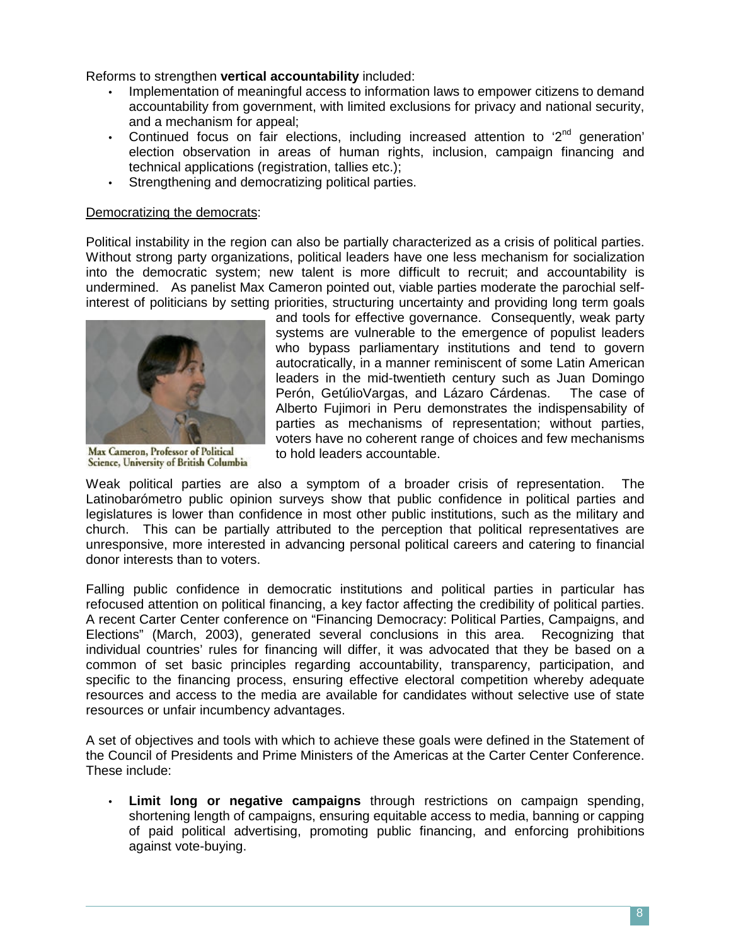Reforms to strengthen **vertical accountability** included:

- Implementation of meaningful access to information laws to empower citizens to demand accountability from government, with limited exclusions for privacy and national security, and a mechanism for appeal;
- Continued focus on fair elections, including increased attention to  $2<sup>nd</sup>$  generation' election observation in areas of human rights, inclusion, campaign financing and technical applications (registration, tallies etc.);
- Strengthening and democratizing political parties.

## Democratizing the democrats:

Political instability in the region can also be partially characterized as a crisis of political parties. Without strong party organizations, political leaders have one less mechanism for socialization into the democratic system; new talent is more difficult to recruit; and accountability is undermined. As panelist Max Cameron pointed out, viable parties moderate the parochial selfinterest of politicians by setting priorities, structuring uncertainty and providing long term goals



Max Cameron, Professor of Political Science, University of British Columbia

and tools for effective governance. Consequently, weak party systems are vulnerable to the emergence of populist leaders who bypass parliamentary institutions and tend to govern autocratically, in a manner reminiscent of some Latin American leaders in the mid-twentieth century such as Juan Domingo Perón, GetúlioVargas, and Lázaro Cárdenas. The case of Alberto Fujimori in Peru demonstrates the indispensability of parties as mechanisms of representation; without parties, voters have no coherent range of choices and few mechanisms to hold leaders accountable.

Weak political parties are also a symptom of a broader crisis of representation. The Latinobarómetro public opinion surveys show that public confidence in political parties and legislatures is lower than confidence in most other public institutions, such as the military and church. This can be partially attributed to the perception that political representatives are unresponsive, more interested in advancing personal political careers and catering to financial donor interests than to voters.

Falling public confidence in democratic institutions and political parties in particular has refocused attention on political financing, a key factor affecting the credibility of political parties. A recent Carter Center conference on "Financing Democracy: Political Parties, Campaigns, and Elections" (March, 2003), generated several conclusions in this area. Recognizing that individual countries' rules for financing will differ, it was advocated that they be based on a common of set basic principles regarding accountability, transparency, participation, and specific to the financing process, ensuring effective electoral competition whereby adequate resources and access to the media are available for candidates without selective use of state resources or unfair incumbency advantages.

A set of objectives and tools with which to achieve these goals were defined in the Statement of the Council of Presidents and Prime Ministers of the Americas at the Carter Center Conference. These include:

• **Limit long or negative campaigns** through restrictions on campaign spending, shortening length of campaigns, ensuring equitable access to media, banning or capping of paid political advertising, promoting public financing, and enforcing prohibitions against vote-buying.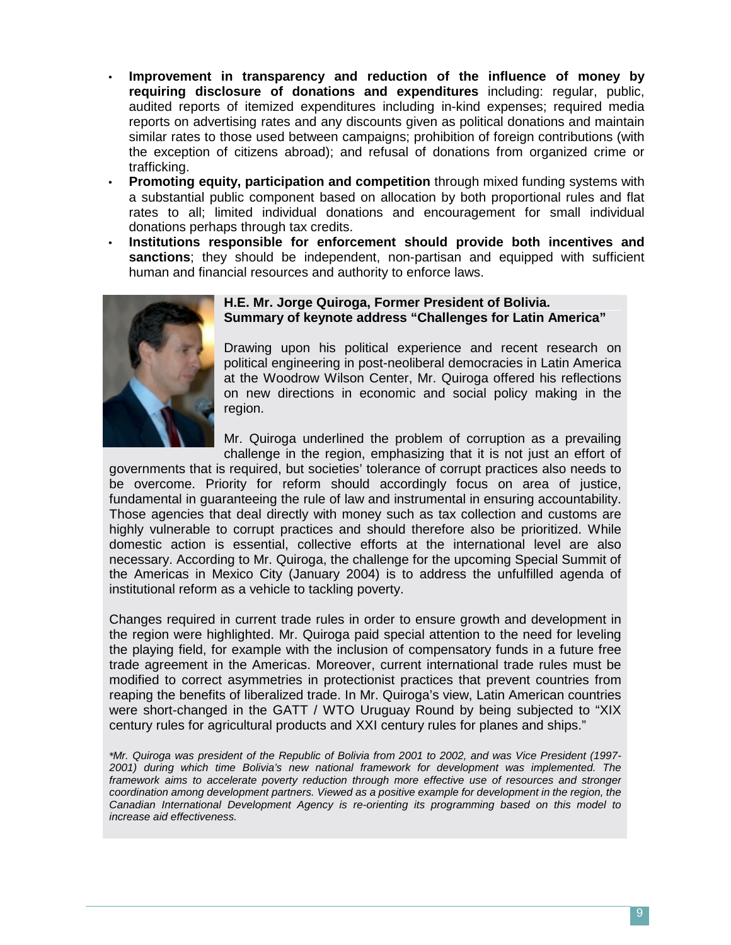- **Improvement in transparency and reduction of the influence of money by requiring disclosure of donations and expenditures** including: regular, public, audited reports of itemized expenditures including in-kind expenses; required media reports on advertising rates and any discounts given as political donations and maintain similar rates to those used between campaigns; prohibition of foreign contributions (with the exception of citizens abroad); and refusal of donations from organized crime or trafficking.
- **Promoting equity, participation and competition** through mixed funding systems with a substantial public component based on allocation by both proportional rules and flat rates to all; limited individual donations and encouragement for small individual donations perhaps through tax credits.
- **Institutions responsible for enforcement should provide both incentives and sanctions**; they should be independent, non-partisan and equipped with sufficient human and financial resources and authority to enforce laws.



## **H.E. Mr. Jorge Quiroga, Former President of Bolivia. Summary of keynote address "Challenges for Latin America"**

Drawing upon his political experience and recent research on political engineering in post-neoliberal democracies in Latin America at the Woodrow Wilson Center, Mr. Quiroga offered his reflections on new directions in economic and social policy making in the region.

Mr. Quiroga underlined the problem of corruption as a prevailing challenge in the region, emphasizing that it is not just an effort of

governments that is required, but societies' tolerance of corrupt practices also needs to be overcome. Priority for reform should accordingly focus on area of justice, fundamental in guaranteeing the rule of law and instrumental in ensuring accountability. Those agencies that deal directly with money such as tax collection and customs are highly vulnerable to corrupt practices and should therefore also be prioritized. While domestic action is essential, collective efforts at the international level are also necessary. According to Mr. Quiroga, the challenge for the upcoming Special Summit of the Americas in Mexico City (January 2004) is to address the unfulfilled agenda of institutional reform as a vehicle to tackling poverty.

Changes required in current trade rules in order to ensure growth and development in the region were highlighted. Mr. Quiroga paid special attention to the need for leveling the playing field, for example with the inclusion of compensatory funds in a future free trade agreement in the Americas. Moreover, current international trade rules must be modified to correct asymmetries in protectionist practices that prevent countries from reaping the benefits of liberalized trade. In Mr. Quiroga's view, Latin American countries were short-changed in the GATT / WTO Uruguay Round by being subjected to "XIX century rules for agricultural products and XXI century rules for planes and ships."

*\*Mr. Quiroga was president of the Republic of Bolivia from 2001 to 2002, and was Vice President (1997- 2001) during which time Bolivia's new national framework for development was implemented. The*  framework aims to accelerate poverty reduction through more effective use of resources and stronger *coordination among development partners. Viewed as a positive example for development in the region, the Canadian International Development Agency is re-orienting its programming based on this model to increase aid effectiveness.*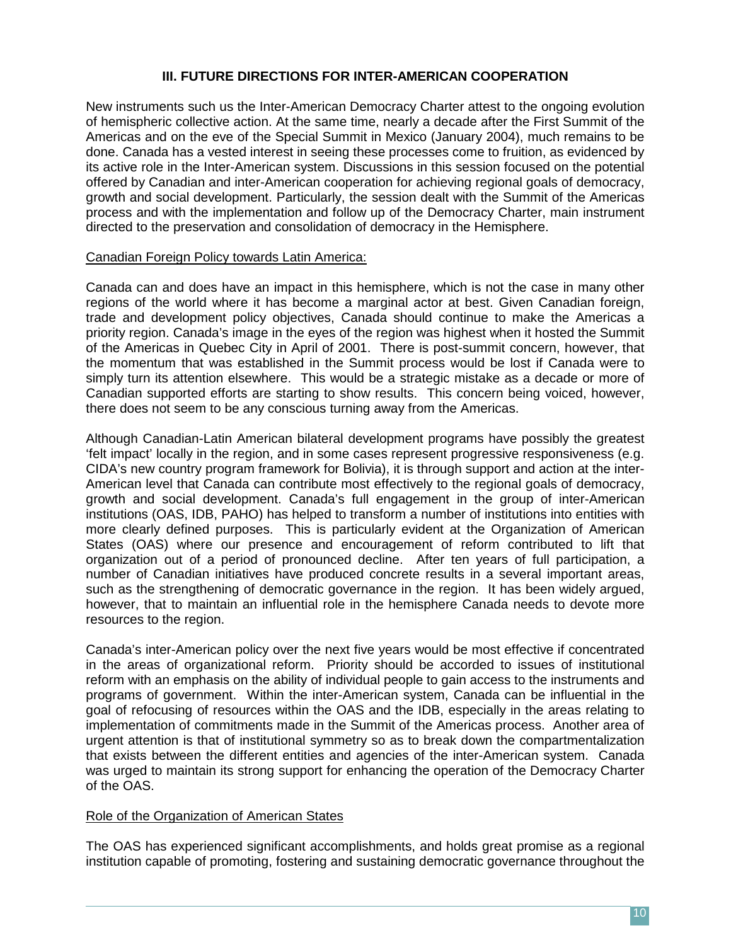# **III. FUTURE DIRECTIONS FOR INTER-AMERICAN COOPERATION**

New instruments such us the Inter-American Democracy Charter attest to the ongoing evolution of hemispheric collective action. At the same time, nearly a decade after the First Summit of the Americas and on the eve of the Special Summit in Mexico (January 2004), much remains to be done. Canada has a vested interest in seeing these processes come to fruition, as evidenced by its active role in the Inter-American system. Discussions in this session focused on the potential offered by Canadian and inter-American cooperation for achieving regional goals of democracy, growth and social development. Particularly, the session dealt with the Summit of the Americas process and with the implementation and follow up of the Democracy Charter, main instrument directed to the preservation and consolidation of democracy in the Hemisphere.

#### Canadian Foreign Policy towards Latin America:

Canada can and does have an impact in this hemisphere, which is not the case in many other regions of the world where it has become a marginal actor at best. Given Canadian foreign, trade and development policy objectives, Canada should continue to make the Americas a priority region. Canada's image in the eyes of the region was highest when it hosted the Summit of the Americas in Quebec City in April of 2001. There is post-summit concern, however, that the momentum that was established in the Summit process would be lost if Canada were to simply turn its attention elsewhere. This would be a strategic mistake as a decade or more of Canadian supported efforts are starting to show results. This concern being voiced, however, there does not seem to be any conscious turning away from the Americas.

Although Canadian-Latin American bilateral development programs have possibly the greatest 'felt impact' locally in the region, and in some cases represent progressive responsiveness (e.g. CIDA's new country program framework for Bolivia), it is through support and action at the inter-American level that Canada can contribute most effectively to the regional goals of democracy, growth and social development. Canada's full engagement in the group of inter-American institutions (OAS, IDB, PAHO) has helped to transform a number of institutions into entities with more clearly defined purposes. This is particularly evident at the Organization of American States (OAS) where our presence and encouragement of reform contributed to lift that organization out of a period of pronounced decline. After ten years of full participation, a number of Canadian initiatives have produced concrete results in a several important areas, such as the strengthening of democratic governance in the region. It has been widely argued, however, that to maintain an influential role in the hemisphere Canada needs to devote more resources to the region.

Canada's inter-American policy over the next five years would be most effective if concentrated in the areas of organizational reform. Priority should be accorded to issues of institutional reform with an emphasis on the ability of individual people to gain access to the instruments and programs of government. Within the inter-American system, Canada can be influential in the goal of refocusing of resources within the OAS and the IDB, especially in the areas relating to implementation of commitments made in the Summit of the Americas process. Another area of urgent attention is that of institutional symmetry so as to break down the compartmentalization that exists between the different entities and agencies of the inter-American system. Canada was urged to maintain its strong support for enhancing the operation of the Democracy Charter of the OAS.

# Role of the Organization of American States

The OAS has experienced significant accomplishments, and holds great promise as a regional institution capable of promoting, fostering and sustaining democratic governance throughout the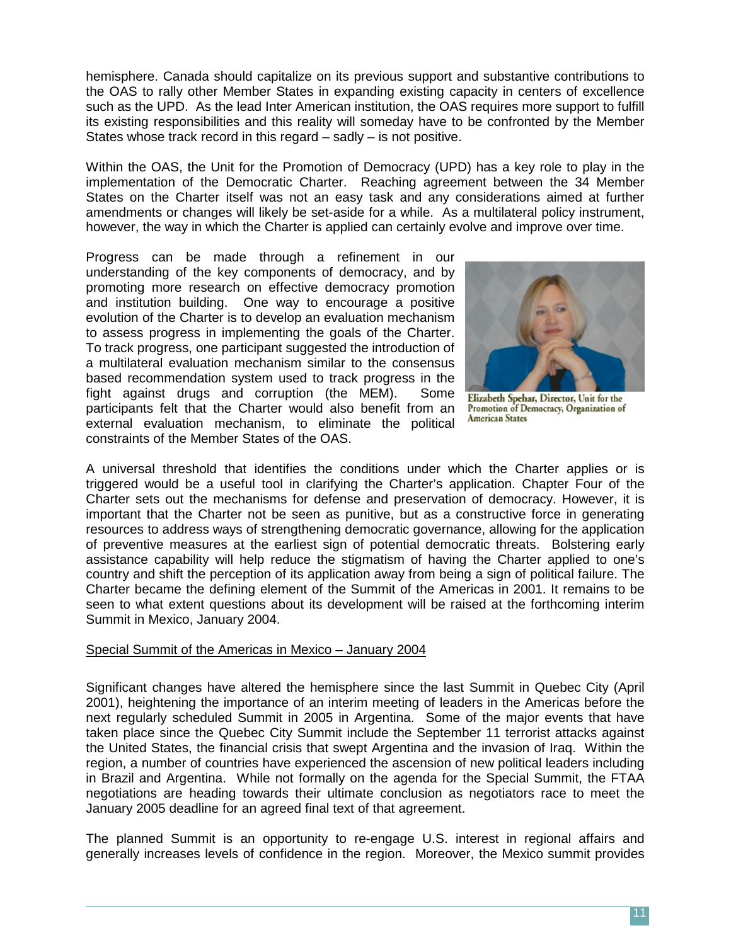hemisphere. Canada should capitalize on its previous support and substantive contributions to the OAS to rally other Member States in expanding existing capacity in centers of excellence such as the UPD. As the lead Inter American institution, the OAS requires more support to fulfill its existing responsibilities and this reality will someday have to be confronted by the Member States whose track record in this regard – sadly – is not positive.

Within the OAS, the Unit for the Promotion of Democracy (UPD) has a key role to play in the implementation of the Democratic Charter. Reaching agreement between the 34 Member States on the Charter itself was not an easy task and any considerations aimed at further amendments or changes will likely be set-aside for a while. As a multilateral policy instrument, however, the way in which the Charter is applied can certainly evolve and improve over time.

Progress can be made through a refinement in our understanding of the key components of democracy, and by promoting more research on effective democracy promotion and institution building. One way to encourage a positive evolution of the Charter is to develop an evaluation mechanism to assess progress in implementing the goals of the Charter. To track progress, one participant suggested the introduction of a multilateral evaluation mechanism similar to the consensus based recommendation system used to track progress in the fight against drugs and corruption (the MEM). Some participants felt that the Charter would also benefit from an external evaluation mechanism, to eliminate the political constraints of the Member States of the OAS.



Elizabeth Spehar, Director, Unit for the Promotion of Democracy, Organization of **American States** 

A universal threshold that identifies the conditions under which the Charter applies or is triggered would be a useful tool in clarifying the Charter's application. Chapter Four of the Charter sets out the mechanisms for defense and preservation of democracy. However, it is important that the Charter not be seen as punitive, but as a constructive force in generating resources to address ways of strengthening democratic governance, allowing for the application of preventive measures at the earliest sign of potential democratic threats. Bolstering early assistance capability will help reduce the stigmatism of having the Charter applied to one's country and shift the perception of its application away from being a sign of political failure. The Charter became the defining element of the Summit of the Americas in 2001. It remains to be seen to what extent questions about its development will be raised at the forthcoming interim Summit in Mexico, January 2004.

#### Special Summit of the Americas in Mexico – January 2004

Significant changes have altered the hemisphere since the last Summit in Quebec City (April 2001), heightening the importance of an interim meeting of leaders in the Americas before the next regularly scheduled Summit in 2005 in Argentina. Some of the major events that have taken place since the Quebec City Summit include the September 11 terrorist attacks against the United States, the financial crisis that swept Argentina and the invasion of Iraq. Within the region, a number of countries have experienced the ascension of new political leaders including in Brazil and Argentina. While not formally on the agenda for the Special Summit, the FTAA negotiations are heading towards their ultimate conclusion as negotiators race to meet the January 2005 deadline for an agreed final text of that agreement.

The planned Summit is an opportunity to re-engage U.S. interest in regional affairs and generally increases levels of confidence in the region. Moreover, the Mexico summit provides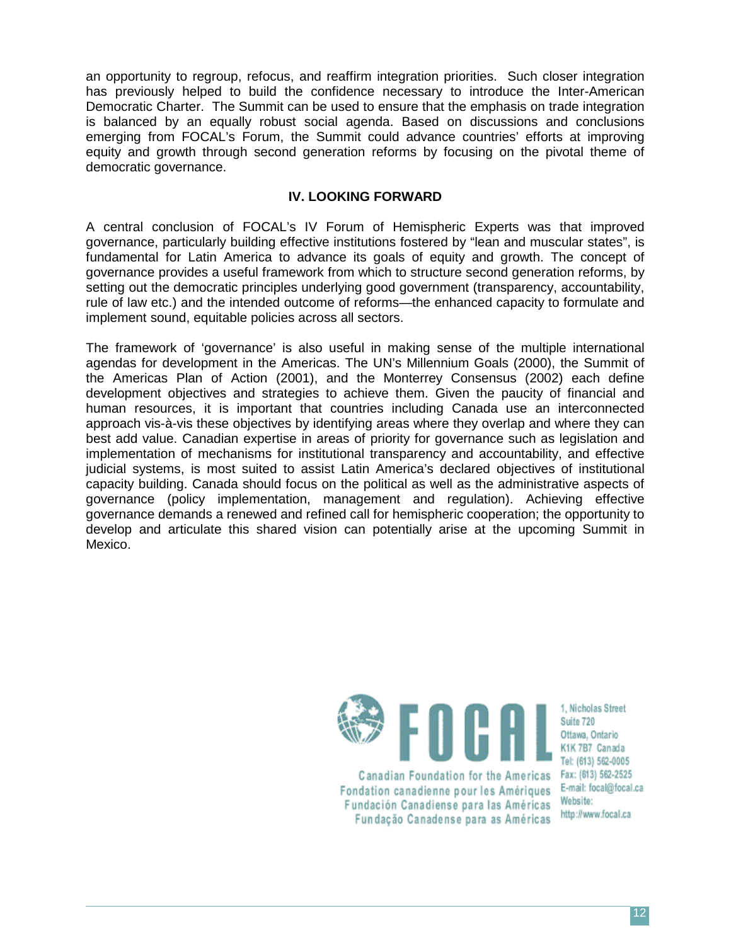an opportunity to regroup, refocus, and reaffirm integration priorities. Such closer integration has previously helped to build the confidence necessary to introduce the Inter-American Democratic Charter. The Summit can be used to ensure that the emphasis on trade integration is balanced by an equally robust social agenda. Based on discussions and conclusions emerging from FOCAL's Forum, the Summit could advance countries' efforts at improving equity and growth through second generation reforms by focusing on the pivotal theme of democratic governance.

# **IV. LOOKING FORWARD**

A central conclusion of FOCAL's IV Forum of Hemispheric Experts was that improved governance, particularly building effective institutions fostered by "lean and muscular states", is fundamental for Latin America to advance its goals of equity and growth. The concept of governance provides a useful framework from which to structure second generation reforms, by setting out the democratic principles underlying good government (transparency, accountability, rule of law etc.) and the intended outcome of reforms—the enhanced capacity to formulate and implement sound, equitable policies across all sectors.

The framework of 'governance' is also useful in making sense of the multiple international agendas for development in the Americas. The UN's Millennium Goals (2000), the Summit of the Americas Plan of Action (2001), and the Monterrey Consensus (2002) each define development objectives and strategies to achieve them. Given the paucity of financial and human resources, it is important that countries including Canada use an interconnected approach vis-à-vis these objectives by identifying areas where they overlap and where they can best add value. Canadian expertise in areas of priority for governance such as legislation and implementation of mechanisms for institutional transparency and accountability, and effective judicial systems, is most suited to assist Latin America's declared objectives of institutional capacity building. Canada should focus on the political as well as the administrative aspects of governance (policy implementation, management and regulation). Achieving effective governance demands a renewed and refined call for hemispheric cooperation; the opportunity to develop and articulate this shared vision can potentially arise at the upcoming Summit in Mexico.



Canadian Foundation for the Americas Fondation canadienne pour les Amériques Fundación Canadiense para las Américas Fundação Canadense para as Américas

1. Nicholas Street Suite 720 Ottawa, Ontario K1K 7B7 Canada Tel: (613) 562-0005 Fax: (613) 562-2525 E-mail: focal@focal.ca Website: http://www.focal.ca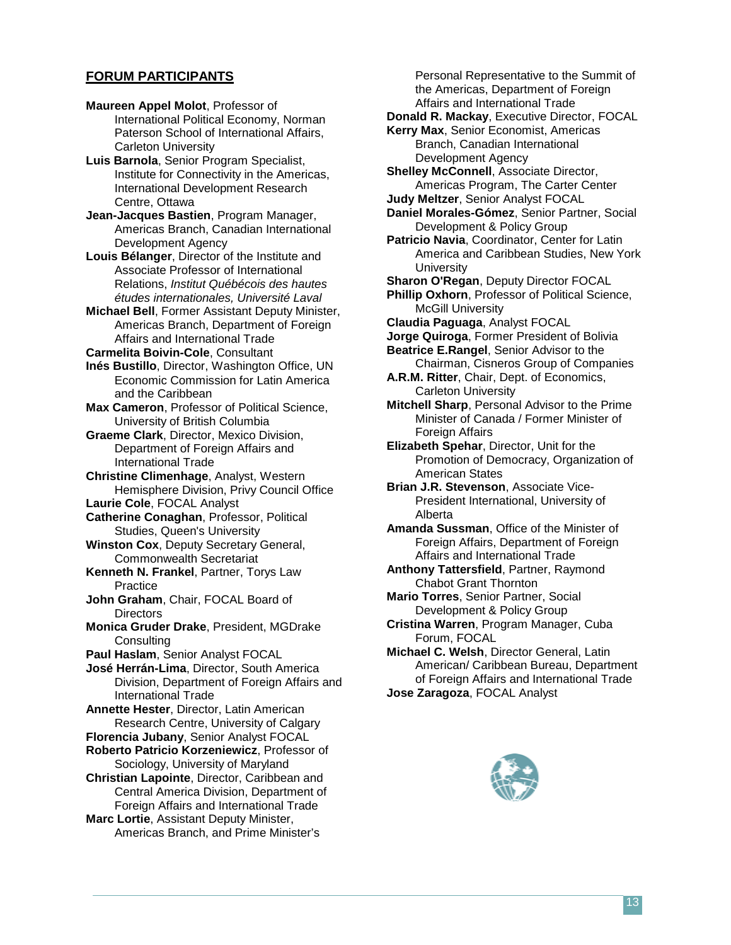#### **FORUM PARTICIPANTS**

**Maureen Appel Molot**, Professor of International Political Economy, Norman Paterson School of International Affairs, Carleton University

**Luis Barnola**, Senior Program Specialist, Institute for Connectivity in the Americas, International Development Research Centre, Ottawa

**Jean-Jacques Bastien**, Program Manager, Americas Branch, Canadian International Development Agency

**Louis Bélanger**, Director of the Institute and Associate Professor of International Relations, *Institut Québécois des hautes études internationales, Université Laval*

**Michael Bell**, Former Assistant Deputy Minister, Americas Branch, Department of Foreign Affairs and International Trade

**Carmelita Boivin-Cole**, Consultant

**Inés Bustillo**, Director, Washington Office, UN Economic Commission for Latin America and the Caribbean

**Max Cameron**, Professor of Political Science, University of British Columbia

**Graeme Clark**, Director, Mexico Division, Department of Foreign Affairs and International Trade

**Christine Climenhage**, Analyst, Western Hemisphere Division, Privy Council Office

**Laurie Cole**, FOCAL Analyst

**Catherine Conaghan**, Professor, Political Studies, Queen's University

**Winston Cox**, Deputy Secretary General, Commonwealth Secretariat

**Kenneth N. Frankel**, Partner, Torys Law Practice

**John Graham**, Chair, FOCAL Board of **Directors** 

**Monica Gruder Drake**, President, MGDrake **Consulting** 

**Paul Haslam**, Senior Analyst FOCAL

**José Herrán-Lima**, Director, South America Division, Department of Foreign Affairs and International Trade

**Annette Hester**, Director, Latin American Research Centre, University of Calgary

**Florencia Jubany**, Senior Analyst FOCAL

**Roberto Patricio Korzeniewicz**, Professor of Sociology, University of Maryland

**Christian Lapointe**, Director, Caribbean and Central America Division, Department of Foreign Affairs and International Trade

**Marc Lortie**, Assistant Deputy Minister, Americas Branch, and Prime Minister's

Personal Representative to the Summit of the Americas, Department of Foreign Affairs and International Trade

**Donald R. Mackay**, Executive Director, FOCAL

**Kerry Max**, Senior Economist, Americas Branch, Canadian International Development Agency

**Shelley McConnell**, Associate Director, Americas Program, The Carter Center **Judy Meltzer**, Senior Analyst FOCAL

**Daniel Morales-Gómez**, Senior Partner, Social Development & Policy Group

**Patricio Navia**, Coordinator, Center for Latin America and Caribbean Studies, New York **University** 

**Sharon O'Regan**, Deputy Director FOCAL

**Phillip Oxhorn**, Professor of Political Science, McGill University

**Claudia Paguaga**, Analyst FOCAL

**Jorge Quiroga**, Former President of Bolivia

**Beatrice E.Rangel**, Senior Advisor to the Chairman, Cisneros Group of Companies

**A.R.M. Ritter**, Chair, Dept. of Economics, Carleton University

**Mitchell Sharp**, Personal Advisor to the Prime Minister of Canada / Former Minister of Foreign Affairs

**Elizabeth Spehar**, Director, Unit for the Promotion of Democracy, Organization of American States

**Brian J.R. Stevenson**, Associate Vice-President International, University of Alberta

**Amanda Sussman**, Office of the Minister of Foreign Affairs, Department of Foreign Affairs and International Trade

**Anthony Tattersfield**, Partner, Raymond Chabot Grant Thornton

**Mario Torres**, Senior Partner, Social Development & Policy Group

**Cristina Warren**, Program Manager, Cuba Forum, FOCAL

**Michael C. Welsh**, Director General, Latin American/ Caribbean Bureau, Department of Foreign Affairs and International Trade **Jose Zaragoza**, FOCAL Analyst